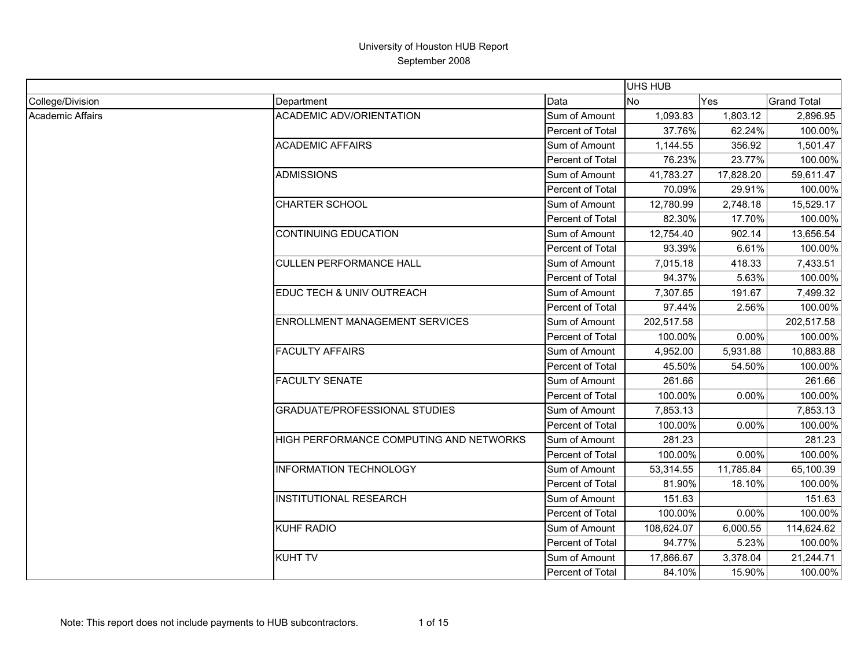|                  |                                         |                         | UHS HUB    |            |                    |
|------------------|-----------------------------------------|-------------------------|------------|------------|--------------------|
| College/Division | Department                              | Data                    | No         | <b>Yes</b> | <b>Grand Total</b> |
| Academic Affairs | <b>ACADEMIC ADV/ORIENTATION</b>         | Sum of Amount           | 1,093.83   | 1,803.12   | 2,896.95           |
|                  |                                         | Percent of Total        | 37.76%     | 62.24%     | 100.00%            |
|                  | <b>ACADEMIC AFFAIRS</b>                 | Sum of Amount           | 1,144.55   | 356.92     | 1,501.47           |
|                  |                                         | Percent of Total        | 76.23%     | 23.77%     | 100.00%            |
|                  | <b>ADMISSIONS</b>                       | Sum of Amount           | 41,783.27  | 17,828.20  | 59,611.47          |
|                  |                                         | Percent of Total        | 70.09%     | 29.91%     | 100.00%            |
|                  | <b>CHARTER SCHOOL</b>                   | Sum of Amount           | 12,780.99  | 2,748.18   | 15,529.17          |
|                  |                                         | Percent of Total        | 82.30%     | 17.70%     | 100.00%            |
|                  | <b>CONTINUING EDUCATION</b>             | Sum of Amount           | 12,754.40  | 902.14     | 13,656.54          |
|                  |                                         | Percent of Total        | 93.39%     | 6.61%      | 100.00%            |
|                  | <b>CULLEN PERFORMANCE HALL</b>          | Sum of Amount           | 7,015.18   | 418.33     | 7,433.51           |
|                  |                                         | Percent of Total        | 94.37%     | 5.63%      | 100.00%            |
|                  | EDUC TECH & UNIV OUTREACH               | Sum of Amount           | 7,307.65   | 191.67     | 7,499.32           |
|                  |                                         | <b>Percent of Total</b> | 97.44%     | 2.56%      | 100.00%            |
|                  | <b>ENROLLMENT MANAGEMENT SERVICES</b>   | Sum of Amount           | 202,517.58 |            | 202,517.58         |
|                  |                                         | Percent of Total        | 100.00%    | 0.00%      | 100.00%            |
|                  | <b>FACULTY AFFAIRS</b>                  | Sum of Amount           | 4,952.00   | 5,931.88   | 10,883.88          |
|                  |                                         | Percent of Total        | 45.50%     | 54.50%     | 100.00%            |
|                  | <b>FACULTY SENATE</b>                   | Sum of Amount           | 261.66     |            | 261.66             |
|                  |                                         | Percent of Total        | 100.00%    | 0.00%      | 100.00%            |
|                  | <b>GRADUATE/PROFESSIONAL STUDIES</b>    | Sum of Amount           | 7,853.13   |            | 7,853.13           |
|                  |                                         | Percent of Total        | 100.00%    | 0.00%      | 100.00%            |
|                  | HIGH PERFORMANCE COMPUTING AND NETWORKS | Sum of Amount           | 281.23     |            | 281.23             |
|                  |                                         | Percent of Total        | 100.00%    | 0.00%      | 100.00%            |
|                  | <b>INFORMATION TECHNOLOGY</b>           | Sum of Amount           | 53,314.55  | 11,785.84  | 65,100.39          |
|                  |                                         | Percent of Total        | 81.90%     | 18.10%     | 100.00%            |
|                  | <b>INSTITUTIONAL RESEARCH</b>           | Sum of Amount           | 151.63     |            | 151.63             |
|                  |                                         | Percent of Total        | 100.00%    | 0.00%      | 100.00%            |
|                  | <b>KUHF RADIO</b>                       | Sum of Amount           | 108,624.07 | 6,000.55   | 114,624.62         |
|                  |                                         | Percent of Total        | 94.77%     | 5.23%      | 100.00%            |
|                  | <b>KUHT TV</b>                          | Sum of Amount           | 17,866.67  | 3,378.04   | 21,244.71          |
|                  |                                         | Percent of Total        | 84.10%     | 15.90%     | 100.00%            |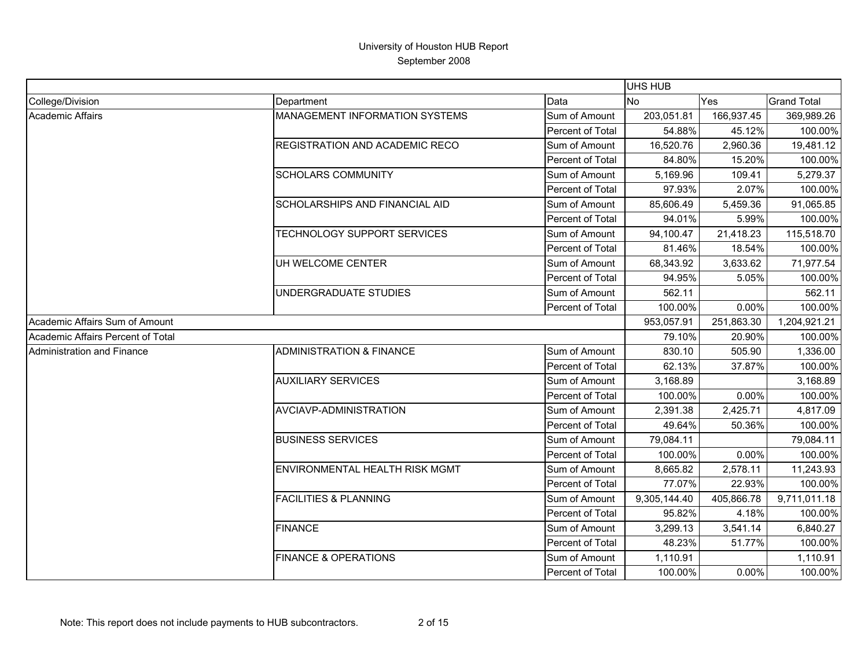|                                   |                                       |                  | <b>UHS HUB</b> |            |                    |
|-----------------------------------|---------------------------------------|------------------|----------------|------------|--------------------|
| College/Division                  | Department                            | Data             | <b>No</b>      | Yes        | <b>Grand Total</b> |
| <b>Academic Affairs</b>           | <b>MANAGEMENT INFORMATION SYSTEMS</b> | Sum of Amount    | 203,051.81     | 166,937.45 | 369,989.26         |
|                                   |                                       | Percent of Total | 54.88%         | 45.12%     | 100.00%            |
|                                   | REGISTRATION AND ACADEMIC RECO        | Sum of Amount    | 16,520.76      | 2,960.36   | 19,481.12          |
|                                   |                                       | Percent of Total | 84.80%         | 15.20%     | 100.00%            |
|                                   | <b>SCHOLARS COMMUNITY</b>             | Sum of Amount    | 5,169.96       | 109.41     | 5,279.37           |
|                                   |                                       | Percent of Total | 97.93%         | 2.07%      | 100.00%            |
|                                   | <b>SCHOLARSHIPS AND FINANCIAL AID</b> | Sum of Amount    | 85,606.49      | 5,459.36   | 91,065.85          |
|                                   |                                       | Percent of Total | 94.01%         | 5.99%      | 100.00%            |
|                                   | TECHNOLOGY SUPPORT SERVICES           | Sum of Amount    | 94,100.47      | 21,418.23  | 115,518.70         |
|                                   |                                       | Percent of Total | 81.46%         | 18.54%     | 100.00%            |
|                                   | UH WELCOME CENTER                     | Sum of Amount    | 68,343.92      | 3,633.62   | 71,977.54          |
|                                   |                                       | Percent of Total | 94.95%         | 5.05%      | 100.00%            |
|                                   | UNDERGRADUATE STUDIES                 | Sum of Amount    | 562.11         |            | 562.11             |
|                                   |                                       | Percent of Total | 100.00%        | 0.00%      | 100.00%            |
| Academic Affairs Sum of Amount    |                                       |                  | 953,057.91     | 251,863.30 | 1,204,921.21       |
| Academic Affairs Percent of Total |                                       |                  | 79.10%         | 20.90%     | 100.00%            |
| Administration and Finance        | <b>ADMINISTRATION &amp; FINANCE</b>   | Sum of Amount    | 830.10         | 505.90     | 1,336.00           |
|                                   |                                       | Percent of Total | 62.13%         | 37.87%     | 100.00%            |
|                                   | <b>AUXILIARY SERVICES</b>             | Sum of Amount    | 3,168.89       |            | 3,168.89           |
|                                   |                                       | Percent of Total | 100.00%        | 0.00%      | 100.00%            |
|                                   | AVCIAVP-ADMINISTRATION                | Sum of Amount    | 2,391.38       | 2,425.71   | 4,817.09           |
|                                   |                                       | Percent of Total | 49.64%         | 50.36%     | 100.00%            |
|                                   | <b>BUSINESS SERVICES</b>              | Sum of Amount    | 79,084.11      |            | 79,084.11          |
|                                   |                                       | Percent of Total | 100.00%        | 0.00%      | 100.00%            |
|                                   | ENVIRONMENTAL HEALTH RISK MGMT        | Sum of Amount    | 8,665.82       | 2,578.11   | 11,243.93          |
|                                   |                                       | Percent of Total | 77.07%         | 22.93%     | 100.00%            |
|                                   | <b>FACILITIES &amp; PLANNING</b>      | Sum of Amount    | 9,305,144.40   | 405,866.78 | 9,711,011.18       |
|                                   |                                       | Percent of Total | 95.82%         | 4.18%      | 100.00%            |
|                                   | <b>FINANCE</b>                        | Sum of Amount    | 3,299.13       | 3,541.14   | 6,840.27           |
|                                   |                                       | Percent of Total | 48.23%         | 51.77%     | 100.00%            |
|                                   | <b>FINANCE &amp; OPERATIONS</b>       | Sum of Amount    | 1,110.91       |            | 1,110.91           |
|                                   |                                       | Percent of Total | 100.00%        | 0.00%      | 100.00%            |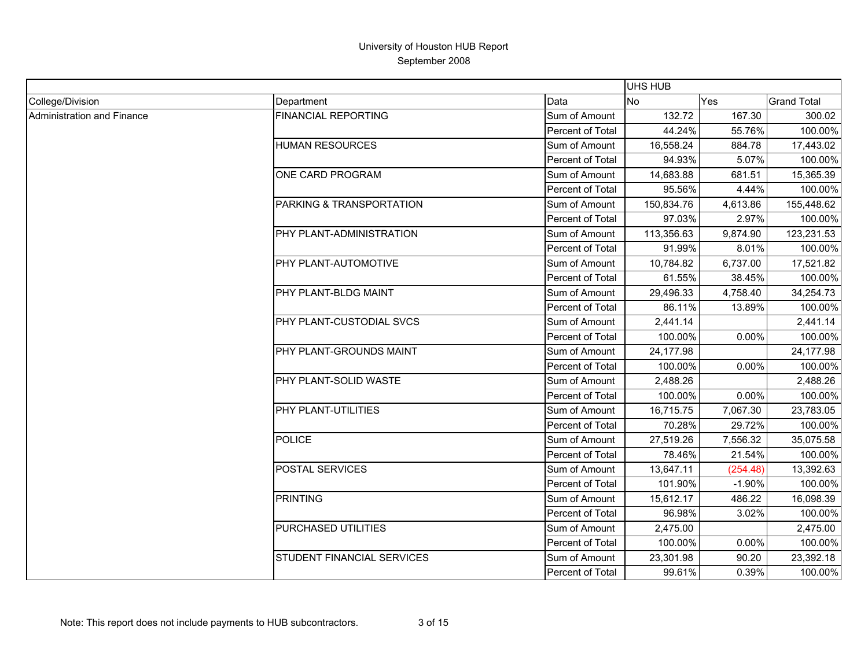|                            |                            |                  | <b>UHS HUB</b> |            |                    |
|----------------------------|----------------------------|------------------|----------------|------------|--------------------|
| College/Division           | Department                 | Data             | No             | <b>Yes</b> | <b>Grand Total</b> |
| Administration and Finance | <b>FINANCIAL REPORTING</b> | Sum of Amount    | 132.72         | 167.30     | 300.02             |
|                            |                            | Percent of Total | 44.24%         | 55.76%     | 100.00%            |
|                            | <b>HUMAN RESOURCES</b>     | Sum of Amount    | 16,558.24      | 884.78     | 17,443.02          |
|                            |                            | Percent of Total | 94.93%         | 5.07%      | 100.00%            |
|                            | ONE CARD PROGRAM           | Sum of Amount    | 14,683.88      | 681.51     | 15,365.39          |
|                            |                            | Percent of Total | 95.56%         | 4.44%      | 100.00%            |
|                            | PARKING & TRANSPORTATION   | Sum of Amount    | 150,834.76     | 4,613.86   | 155,448.62         |
|                            |                            | Percent of Total | 97.03%         | 2.97%      | 100.00%            |
|                            | PHY PLANT-ADMINISTRATION   | Sum of Amount    | 113,356.63     | 9,874.90   | 123,231.53         |
|                            |                            | Percent of Total | 91.99%         | 8.01%      | 100.00%            |
|                            | PHY PLANT-AUTOMOTIVE       | Sum of Amount    | 10,784.82      | 6,737.00   | 17,521.82          |
|                            |                            | Percent of Total | 61.55%         | 38.45%     | 100.00%            |
|                            | PHY PLANT-BLDG MAINT       | Sum of Amount    | 29,496.33      | 4,758.40   | 34,254.73          |
|                            |                            | Percent of Total | 86.11%         | 13.89%     | 100.00%            |
|                            | PHY PLANT-CUSTODIAL SVCS   | Sum of Amount    | 2,441.14       |            | 2,441.14           |
|                            |                            | Percent of Total | 100.00%        | 0.00%      | 100.00%            |
|                            | PHY PLANT-GROUNDS MAINT    | Sum of Amount    | 24,177.98      |            | 24,177.98          |
|                            |                            | Percent of Total | 100.00%        | 0.00%      | 100.00%            |
|                            | PHY PLANT-SOLID WASTE      | Sum of Amount    | 2,488.26       |            | 2,488.26           |
|                            |                            | Percent of Total | 100.00%        | 0.00%      | 100.00%            |
|                            | PHY PLANT-UTILITIES        | Sum of Amount    | 16,715.75      | 7,067.30   | 23,783.05          |
|                            |                            | Percent of Total | 70.28%         | 29.72%     | 100.00%            |
|                            | <b>POLICE</b>              | Sum of Amount    | 27,519.26      | 7,556.32   | 35,075.58          |
|                            |                            | Percent of Total | 78.46%         | 21.54%     | 100.00%            |
|                            | POSTAL SERVICES            | Sum of Amount    | 13,647.11      | (254.48)   | 13,392.63          |
|                            |                            | Percent of Total | 101.90%        | $-1.90%$   | 100.00%            |
|                            | <b>PRINTING</b>            | Sum of Amount    | 15,612.17      | 486.22     | 16,098.39          |
|                            |                            | Percent of Total | 96.98%         | 3.02%      | 100.00%            |
|                            | PURCHASED UTILITIES        | Sum of Amount    | 2,475.00       |            | 2,475.00           |
|                            |                            | Percent of Total | 100.00%        | 0.00%      | 100.00%            |
|                            | STUDENT FINANCIAL SERVICES | Sum of Amount    | 23,301.98      | 90.20      | 23,392.18          |
|                            |                            | Percent of Total | 99.61%         | 0.39%      | 100.00%            |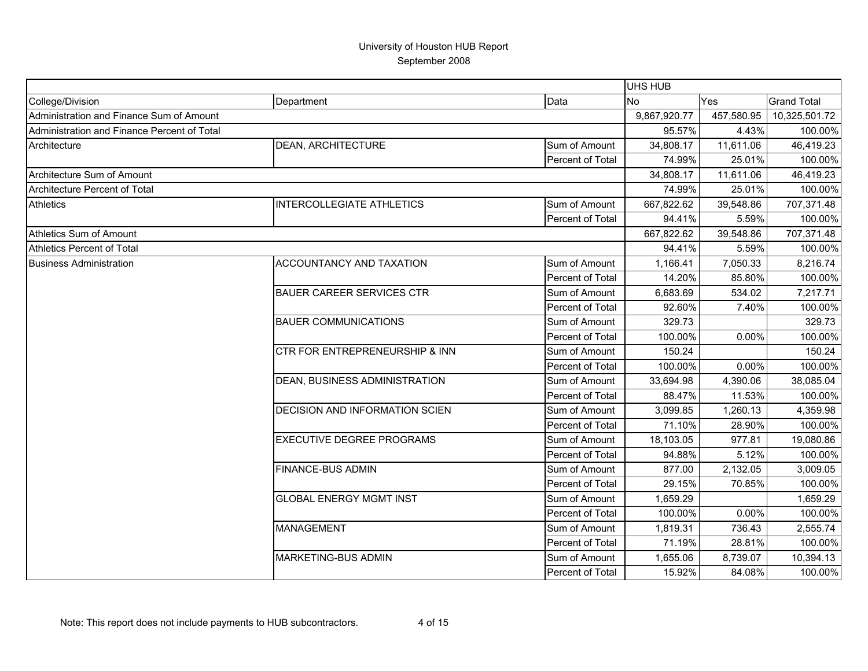|                                             |                                           |                  | <b>UHS HUB</b> |            |                    |
|---------------------------------------------|-------------------------------------------|------------------|----------------|------------|--------------------|
| College/Division                            | Department                                | Data             | <b>No</b>      | Yes        | <b>Grand Total</b> |
| Administration and Finance Sum of Amount    |                                           |                  | 9,867,920.77   | 457,580.95 | 10,325,501.72      |
| Administration and Finance Percent of Total |                                           |                  | 95.57%         | 4.43%      | 100.00%            |
| Architecture                                | <b>DEAN, ARCHITECTURE</b>                 | Sum of Amount    | 34,808.17      | 11,611.06  | 46,419.23          |
|                                             |                                           | Percent of Total | 74.99%         | 25.01%     | 100.00%            |
| Architecture Sum of Amount                  |                                           |                  | 34,808.17      | 11,611.06  | 46,419.23          |
| Architecture Percent of Total               |                                           |                  | 74.99%         | 25.01%     | 100.00%            |
| <b>Athletics</b>                            | <b>INTERCOLLEGIATE ATHLETICS</b>          | Sum of Amount    | 667,822.62     | 39,548.86  | 707,371.48         |
|                                             |                                           | Percent of Total | 94.41%         | 5.59%      | 100.00%            |
| Athletics Sum of Amount                     |                                           |                  | 667,822.62     | 39,548.86  | 707,371.48         |
| <b>Athletics Percent of Total</b>           |                                           |                  | 94.41%         | 5.59%      | 100.00%            |
| <b>Business Administration</b>              | ACCOUNTANCY AND TAXATION                  | Sum of Amount    | 1,166.41       | 7,050.33   | 8,216.74           |
|                                             |                                           | Percent of Total | 14.20%         | 85.80%     | 100.00%            |
|                                             | <b>BAUER CAREER SERVICES CTR</b>          | Sum of Amount    | 6,683.69       | 534.02     | 7,217.71           |
|                                             |                                           | Percent of Total | 92.60%         | 7.40%      | 100.00%            |
|                                             | <b>BAUER COMMUNICATIONS</b>               | Sum of Amount    | 329.73         |            | 329.73             |
|                                             |                                           | Percent of Total | 100.00%        | 0.00%      | 100.00%            |
|                                             | <b>CTR FOR ENTREPRENEURSHIP &amp; INN</b> | Sum of Amount    | 150.24         |            | 150.24             |
|                                             |                                           | Percent of Total | 100.00%        | 0.00%      | 100.00%            |
|                                             | DEAN, BUSINESS ADMINISTRATION             | Sum of Amount    | 33,694.98      | 4,390.06   | 38,085.04          |
|                                             |                                           | Percent of Total | 88.47%         | 11.53%     | 100.00%            |
|                                             | DECISION AND INFORMATION SCIEN            | Sum of Amount    | 3,099.85       | 1,260.13   | 4,359.98           |
|                                             |                                           | Percent of Total | 71.10%         | 28.90%     | 100.00%            |
|                                             | <b>EXECUTIVE DEGREE PROGRAMS</b>          | Sum of Amount    | 18,103.05      | 977.81     | 19,080.86          |
|                                             |                                           | Percent of Total | 94.88%         | 5.12%      | 100.00%            |
|                                             | <b>FINANCE-BUS ADMIN</b>                  | Sum of Amount    | 877.00         | 2,132.05   | 3,009.05           |
|                                             |                                           | Percent of Total | 29.15%         | 70.85%     | 100.00%            |
|                                             | <b>GLOBAL ENERGY MGMT INST</b>            | Sum of Amount    | 1,659.29       |            | 1,659.29           |
|                                             |                                           | Percent of Total | 100.00%        | 0.00%      | 100.00%            |
|                                             | <b>MANAGEMENT</b>                         | Sum of Amount    | 1,819.31       | 736.43     | 2,555.74           |
|                                             |                                           | Percent of Total | 71.19%         | 28.81%     | 100.00%            |
|                                             | <b>MARKETING-BUS ADMIN</b>                | Sum of Amount    | 1,655.06       | 8,739.07   | 10,394.13          |
|                                             |                                           | Percent of Total | 15.92%         | 84.08%     | 100.00%            |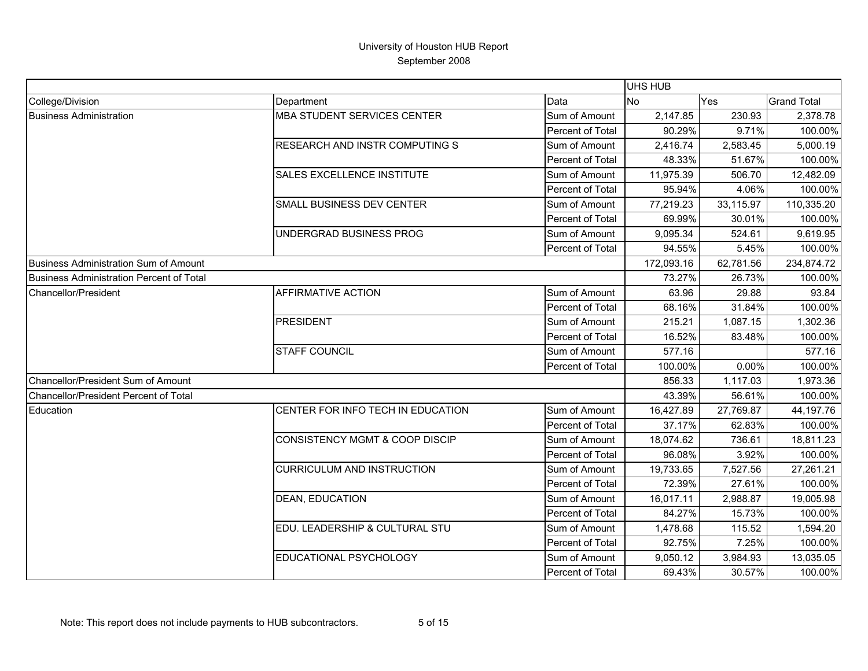|                                          |                                    |                  | <b>UHS HUB</b> |           |                    |
|------------------------------------------|------------------------------------|------------------|----------------|-----------|--------------------|
| College/Division                         | Department                         | Data             | <b>No</b>      | Yes       | <b>Grand Total</b> |
| <b>Business Administration</b>           | <b>MBA STUDENT SERVICES CENTER</b> | Sum of Amount    | 2,147.85       | 230.93    | 2,378.78           |
|                                          |                                    | Percent of Total | 90.29%         | 9.71%     | 100.00%            |
|                                          | RESEARCH AND INSTR COMPUTING S     | Sum of Amount    | 2,416.74       | 2,583.45  | 5,000.19           |
|                                          |                                    | Percent of Total | 48.33%         | 51.67%    | 100.00%            |
|                                          | SALES EXCELLENCE INSTITUTE         | Sum of Amount    | 11,975.39      | 506.70    | 12,482.09          |
|                                          |                                    | Percent of Total | 95.94%         | 4.06%     | 100.00%            |
|                                          | SMALL BUSINESS DEV CENTER          | Sum of Amount    | 77,219.23      | 33,115.97 | 110,335.20         |
|                                          |                                    | Percent of Total | 69.99%         | 30.01%    | 100.00%            |
|                                          | UNDERGRAD BUSINESS PROG            | Sum of Amount    | 9,095.34       | 524.61    | 9,619.95           |
|                                          |                                    | Percent of Total | 94.55%         | 5.45%     | 100.00%            |
| Business Administration Sum of Amount    |                                    |                  | 172,093.16     | 62,781.56 | 234,874.72         |
| Business Administration Percent of Total |                                    |                  | 73.27%         | 26.73%    | 100.00%            |
| Chancellor/President                     | AFFIRMATIVE ACTION                 | Sum of Amount    | 63.96          | 29.88     | 93.84              |
|                                          |                                    | Percent of Total | 68.16%         | 31.84%    | 100.00%            |
|                                          | <b>PRESIDENT</b>                   | Sum of Amount    | 215.21         | 1,087.15  | 1,302.36           |
|                                          |                                    | Percent of Total | 16.52%         | 83.48%    | 100.00%            |
|                                          | <b>STAFF COUNCIL</b>               | Sum of Amount    | 577.16         |           | 577.16             |
|                                          |                                    | Percent of Total | 100.00%        | 0.00%     | 100.00%            |
| Chancellor/President Sum of Amount       |                                    |                  | 856.33         | 1,117.03  | 1,973.36           |
| Chancellor/President Percent of Total    |                                    |                  | 43.39%         | 56.61%    | 100.00%            |
| Education                                | CENTER FOR INFO TECH IN EDUCATION  | Sum of Amount    | 16,427.89      | 27,769.87 | 44,197.76          |
|                                          |                                    | Percent of Total | 37.17%         | 62.83%    | 100.00%            |
|                                          | CONSISTENCY MGMT & COOP DISCIP     | Sum of Amount    | 18,074.62      | 736.61    | 18,811.23          |
|                                          |                                    | Percent of Total | 96.08%         | 3.92%     | 100.00%            |
|                                          | <b>CURRICULUM AND INSTRUCTION</b>  | Sum of Amount    | 19,733.65      | 7,527.56  | 27,261.21          |
|                                          |                                    | Percent of Total | 72.39%         | 27.61%    | 100.00%            |
|                                          | <b>DEAN, EDUCATION</b>             | Sum of Amount    | 16,017.11      | 2,988.87  | 19,005.98          |
|                                          |                                    | Percent of Total | 84.27%         | 15.73%    | 100.00%            |
|                                          | EDU. LEADERSHIP & CULTURAL STU     | Sum of Amount    | 1,478.68       | 115.52    | 1,594.20           |
|                                          |                                    | Percent of Total | 92.75%         | 7.25%     | 100.00%            |
|                                          | EDUCATIONAL PSYCHOLOGY             | Sum of Amount    | 9,050.12       | 3,984.93  | 13,035.05          |
|                                          |                                    | Percent of Total | 69.43%         | 30.57%    | 100.00%            |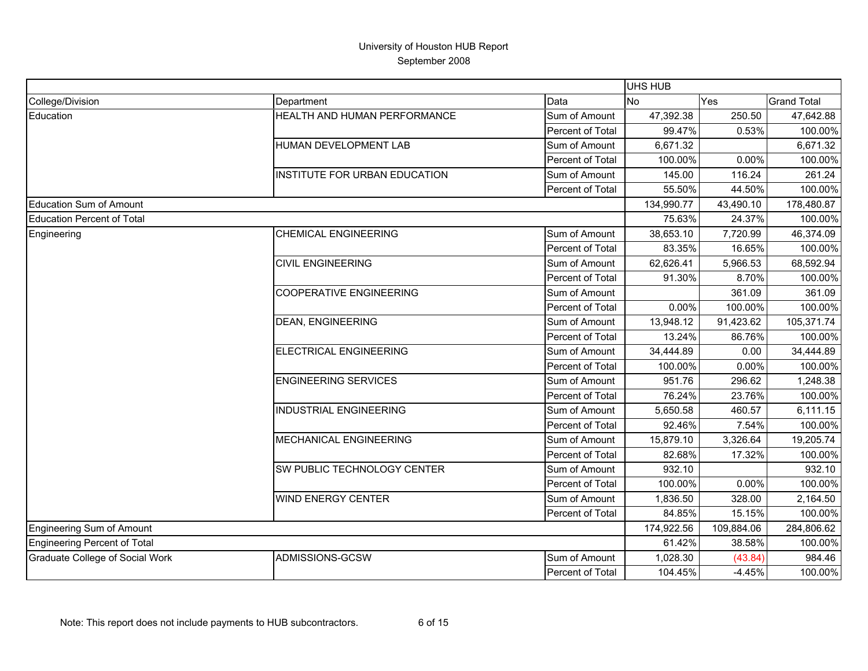|                                        |                                |                  | <b>UHS HUB</b> |            |                    |
|----------------------------------------|--------------------------------|------------------|----------------|------------|--------------------|
| College/Division                       | Department                     | Data             | <b>No</b>      | Yes        | <b>Grand Total</b> |
| Education                              | HEALTH AND HUMAN PERFORMANCE   | Sum of Amount    | 47,392.38      | 250.50     | 47,642.88          |
|                                        |                                | Percent of Total | 99.47%         | 0.53%      | 100.00%            |
|                                        | HUMAN DEVELOPMENT LAB          | Sum of Amount    | 6,671.32       |            | 6,671.32           |
|                                        |                                | Percent of Total | 100.00%        | 0.00%      | 100.00%            |
|                                        | INSTITUTE FOR URBAN EDUCATION  | Sum of Amount    | 145.00         | 116.24     | 261.24             |
|                                        |                                | Percent of Total | 55.50%         | 44.50%     | 100.00%            |
| <b>Education Sum of Amount</b>         |                                |                  | 134,990.77     | 43,490.10  | 178,480.87         |
| <b>Education Percent of Total</b>      |                                |                  | 75.63%         | 24.37%     | 100.00%            |
| Engineering                            | <b>CHEMICAL ENGINEERING</b>    | Sum of Amount    | 38,653.10      | 7,720.99   | 46,374.09          |
|                                        |                                | Percent of Total | 83.35%         | 16.65%     | 100.00%            |
|                                        | <b>CIVIL ENGINEERING</b>       | Sum of Amount    | 62,626.41      | 5,966.53   | 68,592.94          |
|                                        |                                | Percent of Total | 91.30%         | 8.70%      | 100.00%            |
|                                        | <b>COOPERATIVE ENGINEERING</b> | Sum of Amount    |                | 361.09     | 361.09             |
|                                        |                                | Percent of Total | 0.00%          | 100.00%    | 100.00%            |
|                                        | <b>DEAN, ENGINEERING</b>       | Sum of Amount    | 13,948.12      | 91,423.62  | 105,371.74         |
|                                        |                                | Percent of Total | 13.24%         | 86.76%     | 100.00%            |
|                                        | <b>ELECTRICAL ENGINEERING</b>  | Sum of Amount    | 34,444.89      | 0.00       | 34,444.89          |
|                                        |                                | Percent of Total | 100.00%        | 0.00%      | 100.00%            |
|                                        | <b>ENGINEERING SERVICES</b>    | Sum of Amount    | 951.76         | 296.62     | 1,248.38           |
|                                        |                                | Percent of Total | 76.24%         | 23.76%     | 100.00%            |
|                                        | <b>INDUSTRIAL ENGINEERING</b>  | Sum of Amount    | 5,650.58       | 460.57     | 6,111.15           |
|                                        |                                | Percent of Total | 92.46%         | 7.54%      | 100.00%            |
|                                        | MECHANICAL ENGINEERING         | Sum of Amount    | 15,879.10      | 3,326.64   | 19,205.74          |
|                                        |                                | Percent of Total | 82.68%         | 17.32%     | 100.00%            |
|                                        | SW PUBLIC TECHNOLOGY CENTER    | Sum of Amount    | 932.10         |            | 932.10             |
|                                        |                                | Percent of Total | 100.00%        | 0.00%      | 100.00%            |
|                                        | WIND ENERGY CENTER             | Sum of Amount    | 1,836.50       | 328.00     | 2,164.50           |
|                                        |                                | Percent of Total | 84.85%         | 15.15%     | 100.00%            |
| <b>Engineering Sum of Amount</b>       |                                |                  | 174,922.56     | 109,884.06 | 284,806.62         |
| <b>Engineering Percent of Total</b>    |                                |                  | 61.42%         | 38.58%     | 100.00%            |
| <b>Graduate College of Social Work</b> | ADMISSIONS-GCSW                | Sum of Amount    | 1,028.30       | (43.84)    | 984.46             |
|                                        |                                | Percent of Total | 104.45%        | $-4.45%$   | 100.00%            |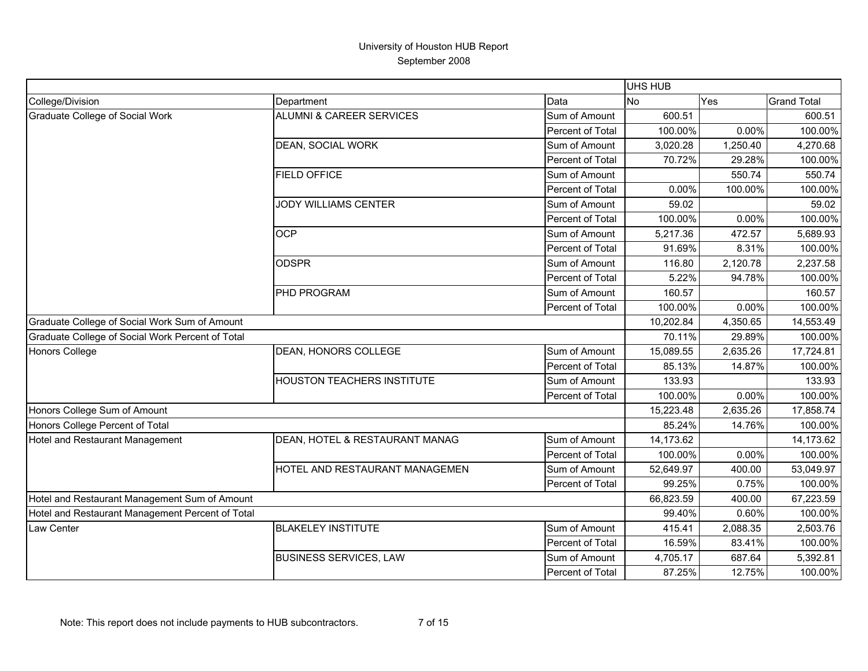|                                                  |                                     |                  | UHS HUB   |           |                    |
|--------------------------------------------------|-------------------------------------|------------------|-----------|-----------|--------------------|
| College/Division                                 | Department                          | Data             | <b>No</b> | Yes       | <b>Grand Total</b> |
| <b>Graduate College of Social Work</b>           | <b>ALUMNI &amp; CAREER SERVICES</b> | Sum of Amount    | 600.51    |           | 600.51             |
|                                                  |                                     | Percent of Total | 100.00%   | 0.00%     | 100.00%            |
|                                                  | <b>DEAN, SOCIAL WORK</b>            | Sum of Amount    | 3,020.28  | 1,250.40  | 4,270.68           |
|                                                  |                                     | Percent of Total | 70.72%    | 29.28%    | 100.00%            |
|                                                  | <b>FIELD OFFICE</b>                 | Sum of Amount    |           | 550.74    | 550.74             |
|                                                  |                                     | Percent of Total | 0.00%     | 100.00%   | 100.00%            |
|                                                  | <b>JODY WILLIAMS CENTER</b>         | Sum of Amount    | 59.02     |           | 59.02              |
|                                                  |                                     | Percent of Total | 100.00%   | 0.00%     | 100.00%            |
|                                                  | <b>OCP</b>                          | Sum of Amount    | 5,217.36  | 472.57    | 5,689.93           |
|                                                  |                                     | Percent of Total | 91.69%    | 8.31%     | 100.00%            |
|                                                  | <b>ODSPR</b>                        | Sum of Amount    | 116.80    | 2,120.78  | 2,237.58           |
|                                                  |                                     | Percent of Total | 5.22%     | 94.78%    | 100.00%            |
|                                                  | PHD PROGRAM                         | Sum of Amount    | 160.57    |           | 160.57             |
|                                                  |                                     | Percent of Total | 100.00%   | 0.00%     | 100.00%            |
| Graduate College of Social Work Sum of Amount    |                                     | 10,202.84        | 4,350.65  | 14,553.49 |                    |
| Graduate College of Social Work Percent of Total |                                     |                  | 70.11%    | 29.89%    | 100.00%            |
| <b>Honors College</b>                            | DEAN, HONORS COLLEGE                | Sum of Amount    | 15,089.55 | 2,635.26  | 17,724.81          |
|                                                  |                                     | Percent of Total | 85.13%    | 14.87%    | 100.00%            |
|                                                  | <b>HOUSTON TEACHERS INSTITUTE</b>   | Sum of Amount    | 133.93    |           | 133.93             |
|                                                  |                                     | Percent of Total | 100.00%   | 0.00%     | 100.00%            |
| Honors College Sum of Amount                     |                                     |                  | 15,223.48 | 2,635.26  | 17,858.74          |
| Honors College Percent of Total                  |                                     |                  | 85.24%    | 14.76%    | 100.00%            |
| Hotel and Restaurant Management                  | DEAN, HOTEL & RESTAURANT MANAG      | Sum of Amount    | 14,173.62 |           | 14,173.62          |
|                                                  |                                     | Percent of Total | 100.00%   | 0.00%     | 100.00%            |
|                                                  | HOTEL AND RESTAURANT MANAGEMEN      | Sum of Amount    | 52,649.97 | 400.00    | 53,049.97          |
|                                                  |                                     | Percent of Total | 99.25%    | 0.75%     | 100.00%            |
| Hotel and Restaurant Management Sum of Amount    |                                     |                  | 66,823.59 | 400.00    | 67,223.59          |
| Hotel and Restaurant Management Percent of Total |                                     |                  | 99.40%    | 0.60%     | 100.00%            |
| Law Center                                       | <b>BLAKELEY INSTITUTE</b>           | Sum of Amount    | 415.41    | 2,088.35  | 2,503.76           |
|                                                  |                                     | Percent of Total | 16.59%    | 83.41%    | 100.00%            |
|                                                  | <b>BUSINESS SERVICES, LAW</b>       | Sum of Amount    | 4,705.17  | 687.64    | 5,392.81           |
|                                                  |                                     | Percent of Total | 87.25%    | 12.75%    | 100.00%            |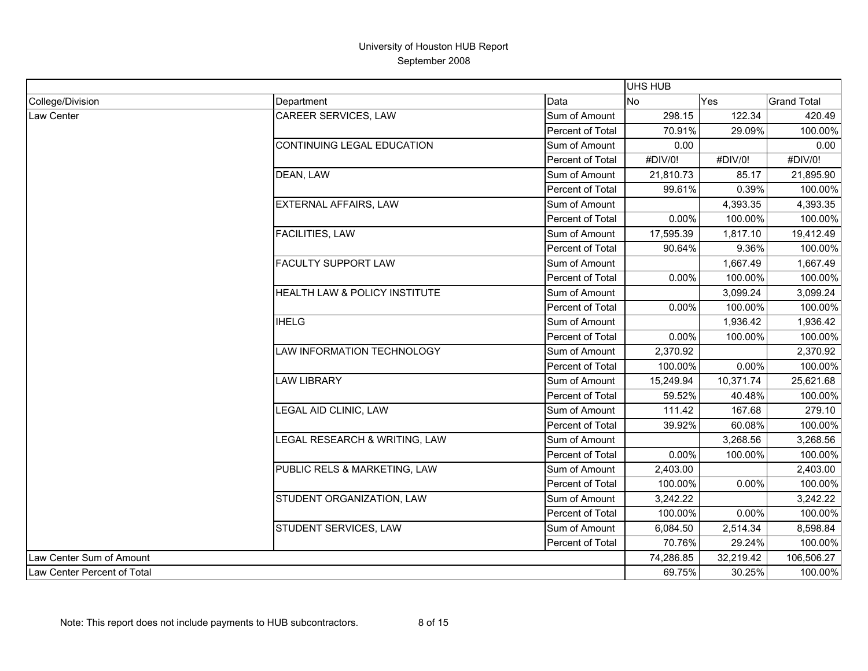|                             |                               |                  | UHS HUB   |           |                    |
|-----------------------------|-------------------------------|------------------|-----------|-----------|--------------------|
| College/Division            | Department                    | Data             | No        | Yes       | <b>Grand Total</b> |
| Law Center                  | CAREER SERVICES, LAW          | Sum of Amount    | 298.15    | 122.34    | 420.49             |
|                             |                               | Percent of Total | 70.91%    | 29.09%    | 100.00%            |
|                             | CONTINUING LEGAL EDUCATION    | Sum of Amount    | 0.00      |           | 0.00               |
|                             |                               | Percent of Total | #DIV/0!   | #DIV/0!   | #DIV/0!            |
|                             | DEAN, LAW                     | Sum of Amount    | 21,810.73 | 85.17     | 21,895.90          |
|                             |                               | Percent of Total | 99.61%    | 0.39%     | 100.00%            |
|                             | EXTERNAL AFFAIRS, LAW         | Sum of Amount    |           | 4,393.35  | 4,393.35           |
|                             |                               | Percent of Total | 0.00%     | 100.00%   | 100.00%            |
|                             | <b>FACILITIES, LAW</b>        | Sum of Amount    | 17,595.39 | 1,817.10  | 19,412.49          |
|                             |                               | Percent of Total | 90.64%    | 9.36%     | 100.00%            |
|                             | <b>FACULTY SUPPORT LAW</b>    | Sum of Amount    |           | 1,667.49  | 1,667.49           |
|                             |                               | Percent of Total | 0.00%     | 100.00%   | 100.00%            |
|                             | HEALTH LAW & POLICY INSTITUTE | Sum of Amount    |           | 3,099.24  | 3,099.24           |
|                             |                               | Percent of Total | 0.00%     | 100.00%   | 100.00%            |
|                             | <b>IHELG</b>                  | Sum of Amount    |           | 1,936.42  | 1,936.42           |
|                             |                               | Percent of Total | 0.00%     | 100.00%   | 100.00%            |
|                             | LAW INFORMATION TECHNOLOGY    | Sum of Amount    | 2,370.92  |           | 2,370.92           |
|                             |                               | Percent of Total | 100.00%   | 0.00%     | 100.00%            |
|                             | <b>LAW LIBRARY</b>            | Sum of Amount    | 15,249.94 | 10,371.74 | 25,621.68          |
|                             |                               | Percent of Total | 59.52%    | 40.48%    | 100.00%            |
|                             | LEGAL AID CLINIC, LAW         | Sum of Amount    | 111.42    | 167.68    | 279.10             |
|                             |                               | Percent of Total | 39.92%    | 60.08%    | 100.00%            |
|                             | LEGAL RESEARCH & WRITING, LAW | Sum of Amount    |           | 3,268.56  | 3,268.56           |
|                             |                               | Percent of Total | 0.00%     | 100.00%   | 100.00%            |
|                             | PUBLIC RELS & MARKETING, LAW  | Sum of Amount    | 2,403.00  |           | 2,403.00           |
|                             |                               | Percent of Total | 100.00%   | 0.00%     | 100.00%            |
|                             | STUDENT ORGANIZATION, LAW     | Sum of Amount    | 3,242.22  |           | 3,242.22           |
|                             |                               | Percent of Total | 100.00%   | 0.00%     | 100.00%            |
|                             | STUDENT SERVICES, LAW         | Sum of Amount    | 6,084.50  | 2,514.34  | 8,598.84           |
|                             |                               | Percent of Total | 70.76%    | 29.24%    | 100.00%            |
| Law Center Sum of Amount    |                               |                  | 74,286.85 | 32,219.42 | 106,506.27         |
| Law Center Percent of Total |                               |                  | 69.75%    | 30.25%    | 100.00%            |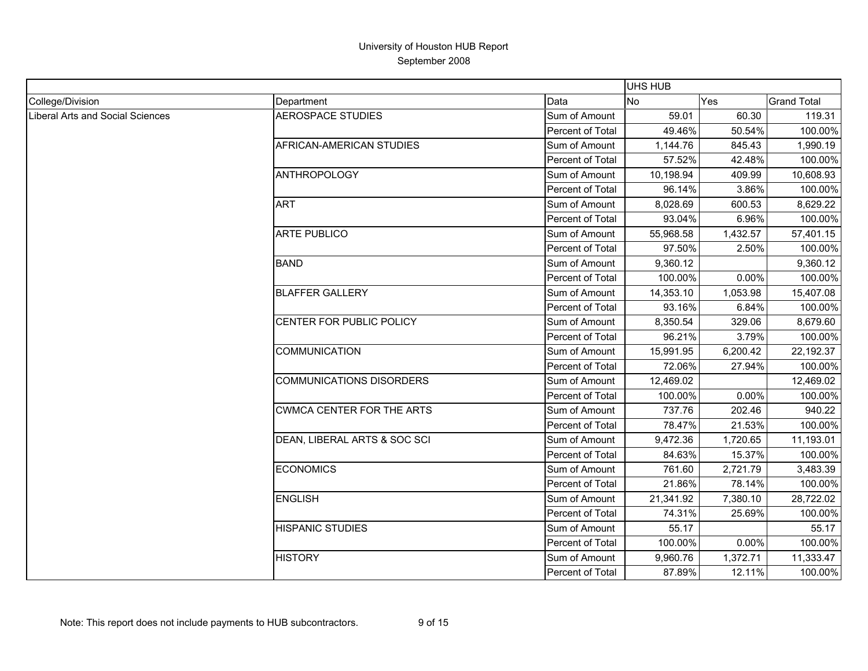|                                  |                                 |                  | <b>UHS HUB</b> |            |                    |
|----------------------------------|---------------------------------|------------------|----------------|------------|--------------------|
| College/Division                 | Department                      | Data             | No             | <b>Yes</b> | <b>Grand Total</b> |
| Liberal Arts and Social Sciences | <b>AEROSPACE STUDIES</b>        | Sum of Amount    | 59.01          | 60.30      | 119.31             |
|                                  |                                 | Percent of Total | 49.46%         | 50.54%     | 100.00%            |
|                                  | AFRICAN-AMERICAN STUDIES        | Sum of Amount    | 1,144.76       | 845.43     | 1,990.19           |
|                                  |                                 | Percent of Total | 57.52%         | 42.48%     | 100.00%            |
|                                  | <b>ANTHROPOLOGY</b>             | Sum of Amount    | 10,198.94      | 409.99     | 10,608.93          |
|                                  |                                 | Percent of Total | 96.14%         | 3.86%      | 100.00%            |
|                                  | <b>ART</b>                      | Sum of Amount    | 8,028.69       | 600.53     | 8,629.22           |
|                                  |                                 | Percent of Total | 93.04%         | 6.96%      | 100.00%            |
|                                  | <b>ARTE PUBLICO</b>             | Sum of Amount    | 55,968.58      | 1,432.57   | 57,401.15          |
|                                  |                                 | Percent of Total | 97.50%         | 2.50%      | 100.00%            |
|                                  | <b>BAND</b>                     | Sum of Amount    | 9,360.12       |            | 9,360.12           |
|                                  |                                 | Percent of Total | 100.00%        | 0.00%      | 100.00%            |
|                                  | <b>BLAFFER GALLERY</b>          | Sum of Amount    | 14,353.10      | 1,053.98   | 15,407.08          |
|                                  |                                 | Percent of Total | 93.16%         | 6.84%      | 100.00%            |
|                                  | CENTER FOR PUBLIC POLICY        | Sum of Amount    | 8,350.54       | 329.06     | 8,679.60           |
|                                  |                                 | Percent of Total | 96.21%         | 3.79%      | 100.00%            |
|                                  | <b>COMMUNICATION</b>            | Sum of Amount    | 15,991.95      | 6,200.42   | 22,192.37          |
|                                  |                                 | Percent of Total | 72.06%         | 27.94%     | 100.00%            |
|                                  | <b>COMMUNICATIONS DISORDERS</b> | Sum of Amount    | 12,469.02      |            | 12,469.02          |
|                                  |                                 | Percent of Total | 100.00%        | 0.00%      | 100.00%            |
|                                  | CWMCA CENTER FOR THE ARTS       | Sum of Amount    | 737.76         | 202.46     | 940.22             |
|                                  |                                 | Percent of Total | 78.47%         | 21.53%     | 100.00%            |
|                                  | DEAN, LIBERAL ARTS & SOC SCI    | Sum of Amount    | 9,472.36       | 1,720.65   | 11,193.01          |
|                                  |                                 | Percent of Total | 84.63%         | 15.37%     | 100.00%            |
|                                  | <b>ECONOMICS</b>                | Sum of Amount    | 761.60         | 2,721.79   | 3,483.39           |
|                                  |                                 | Percent of Total | 21.86%         | 78.14%     | 100.00%            |
|                                  | <b>ENGLISH</b>                  | Sum of Amount    | 21,341.92      | 7,380.10   | 28,722.02          |
|                                  |                                 | Percent of Total | 74.31%         | 25.69%     | 100.00%            |
|                                  | <b>HISPANIC STUDIES</b>         | Sum of Amount    | 55.17          |            | 55.17              |
|                                  |                                 | Percent of Total | 100.00%        | 0.00%      | 100.00%            |
|                                  | <b>HISTORY</b>                  | Sum of Amount    | 9,960.76       | 1,372.71   | 11,333.47          |
|                                  |                                 | Percent of Total | 87.89%         | 12.11%     | 100.00%            |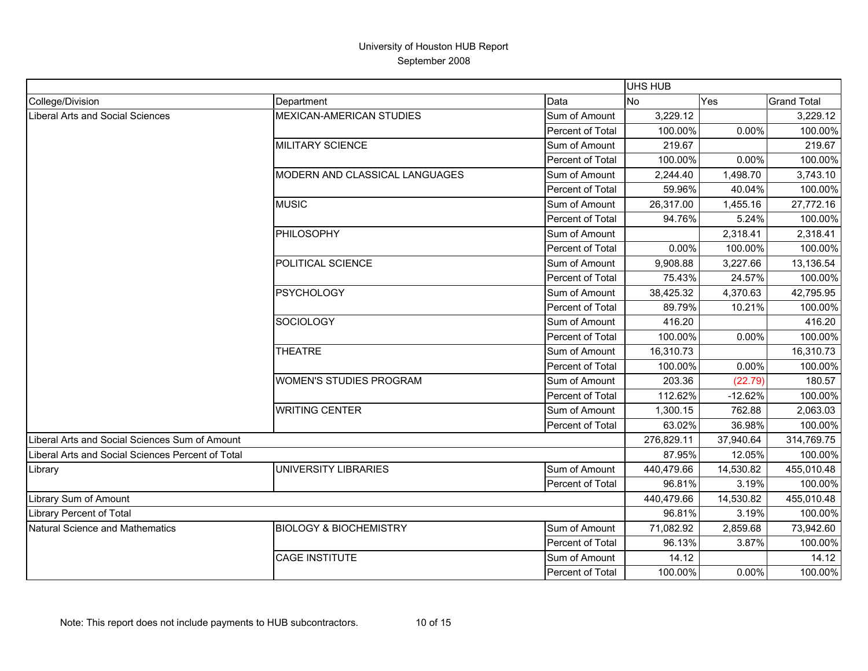|                                                   |                                   |                  | <b>UHS HUB</b> |           |                    |
|---------------------------------------------------|-----------------------------------|------------------|----------------|-----------|--------------------|
| College/Division                                  | Department                        | Data             | <b>No</b>      | Yes       | <b>Grand Total</b> |
| Liberal Arts and Social Sciences                  | <b>MEXICAN-AMERICAN STUDIES</b>   | Sum of Amount    | 3,229.12       |           | 3,229.12           |
|                                                   |                                   | Percent of Total | 100.00%        | 0.00%     | 100.00%            |
|                                                   | MILITARY SCIENCE                  | Sum of Amount    | 219.67         |           | 219.67             |
|                                                   |                                   | Percent of Total | 100.00%        | 0.00%     | 100.00%            |
|                                                   | MODERN AND CLASSICAL LANGUAGES    | Sum of Amount    | 2,244.40       | 1,498.70  | 3,743.10           |
|                                                   |                                   | Percent of Total | 59.96%         | 40.04%    | 100.00%            |
|                                                   | <b>MUSIC</b>                      | Sum of Amount    | 26,317.00      | 1,455.16  | 27,772.16          |
|                                                   |                                   | Percent of Total | 94.76%         | 5.24%     | 100.00%            |
|                                                   | PHILOSOPHY                        | Sum of Amount    |                | 2,318.41  | 2,318.41           |
|                                                   |                                   | Percent of Total | 0.00%          | 100.00%   | 100.00%            |
|                                                   | POLITICAL SCIENCE                 | Sum of Amount    | 9,908.88       | 3,227.66  | 13,136.54          |
|                                                   |                                   | Percent of Total | 75.43%         | 24.57%    | 100.00%            |
|                                                   | <b>PSYCHOLOGY</b>                 | Sum of Amount    | 38,425.32      | 4,370.63  | 42,795.95          |
|                                                   |                                   | Percent of Total | 89.79%         | 10.21%    | 100.00%            |
|                                                   | <b>SOCIOLOGY</b>                  | Sum of Amount    | 416.20         |           | 416.20             |
|                                                   |                                   | Percent of Total | 100.00%        | 0.00%     | 100.00%            |
|                                                   | <b>THEATRE</b>                    | Sum of Amount    | 16,310.73      |           | 16,310.73          |
|                                                   |                                   | Percent of Total | 100.00%        | 0.00%     | 100.00%            |
|                                                   | <b>WOMEN'S STUDIES PROGRAM</b>    | Sum of Amount    | 203.36         | (22.79)   | 180.57             |
|                                                   |                                   | Percent of Total | 112.62%        | $-12.62%$ | 100.00%            |
|                                                   | <b>WRITING CENTER</b>             | Sum of Amount    | 1,300.15       | 762.88    | 2,063.03           |
|                                                   |                                   | Percent of Total | 63.02%         | 36.98%    | 100.00%            |
| Liberal Arts and Social Sciences Sum of Amount    |                                   |                  | 276,829.11     | 37,940.64 | 314,769.75         |
| Liberal Arts and Social Sciences Percent of Total |                                   |                  | 87.95%         | 12.05%    | 100.00%            |
| Library                                           | UNIVERSITY LIBRARIES              | Sum of Amount    | 440,479.66     | 14,530.82 | 455,010.48         |
|                                                   |                                   | Percent of Total | 96.81%         | 3.19%     | 100.00%            |
| Library Sum of Amount                             |                                   |                  | 440,479.66     | 14,530.82 | 455,010.48         |
| Library Percent of Total                          |                                   |                  | 96.81%         | 3.19%     | 100.00%            |
| Natural Science and Mathematics                   | <b>BIOLOGY &amp; BIOCHEMISTRY</b> | Sum of Amount    | 71,082.92      | 2,859.68  | 73,942.60          |
|                                                   |                                   | Percent of Total | 96.13%         | 3.87%     | 100.00%            |
|                                                   | <b>CAGE INSTITUTE</b>             | Sum of Amount    | 14.12          |           | 14.12              |
|                                                   |                                   | Percent of Total | 100.00%        | 0.00%     | 100.00%            |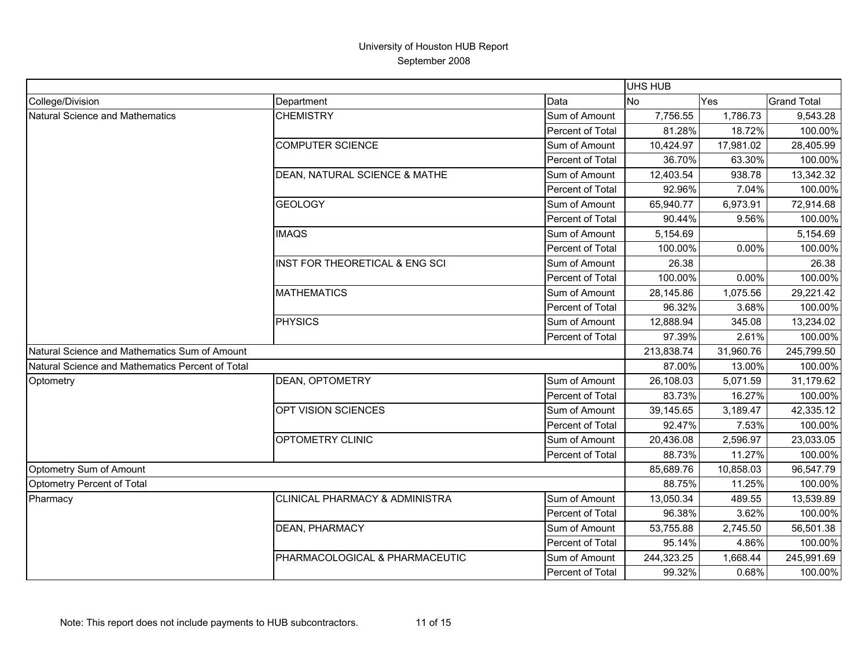| Data<br><b>No</b><br>Yes<br><b>Grand Total</b><br>Department<br>Sum of Amount<br>7,756.55<br><b>CHEMISTRY</b><br>1,786.73<br>18.72%<br>Percent of Total<br>81.28%<br><b>COMPUTER SCIENCE</b><br>Sum of Amount<br>10,424.97<br>17,981.02<br>Percent of Total<br>36.70%<br>63.30%<br>DEAN, NATURAL SCIENCE & MATHE<br>Sum of Amount<br>12,403.54<br>938.78<br>Percent of Total<br>92.96%<br>7.04%<br><b>GEOLOGY</b><br>Sum of Amount<br>65,940.77<br>6,973.91<br>90.44%<br>Percent of Total<br>9.56%<br><b>IMAQS</b><br>Sum of Amount<br>5,154.69<br>Percent of Total<br>100.00%<br>0.00%<br>INST FOR THEORETICAL & ENG SCI<br>Sum of Amount<br>26.38<br>100.00%<br>Percent of Total<br>0.00%<br><b>MATHEMATICS</b><br>1,075.56<br>28,145.86<br>Sum of Amount<br>96.32%<br>3.68%<br>Percent of Total<br><b>PHYSICS</b><br>Sum of Amount<br>12,888.94<br>345.08<br>97.39%<br>2.61%<br>Percent of Total<br>Natural Science and Mathematics Sum of Amount<br>213,838.74<br>31,960.76<br>Natural Science and Mathematics Percent of Total<br>87.00%<br>13.00%<br>DEAN, OPTOMETRY<br>Sum of Amount<br>26,108.03<br>5,071.59<br>83.73%<br>16.27%<br>Percent of Total<br>OPT VISION SCIENCES<br>Sum of Amount<br>39,145.65<br>3,189.47<br>92.47%<br>Percent of Total<br>7.53%<br>OPTOMETRY CLINIC<br>Sum of Amount<br>20,436.08<br>2,596.97<br>88.73%<br>11.27%<br>Percent of Total<br>85,689.76<br>10,858.03<br>88.75%<br>11.25%<br>Sum of Amount<br>CLINICAL PHARMACY & ADMINISTRA<br>13,050.34<br>489.55<br>Percent of Total<br>96.38%<br>3.62%<br>DEAN, PHARMACY<br>Sum of Amount<br>53,755.88<br>2,745.50<br>95.14%<br>4.86%<br>Percent of Total<br>PHARMACOLOGICAL & PHARMACEUTIC<br>Sum of Amount<br>244,323.25<br>1,668.44<br>99.32%<br>0.68%<br>Percent of Total |                                 |  | <b>UHS HUB</b> |            |
|------------------------------------------------------------------------------------------------------------------------------------------------------------------------------------------------------------------------------------------------------------------------------------------------------------------------------------------------------------------------------------------------------------------------------------------------------------------------------------------------------------------------------------------------------------------------------------------------------------------------------------------------------------------------------------------------------------------------------------------------------------------------------------------------------------------------------------------------------------------------------------------------------------------------------------------------------------------------------------------------------------------------------------------------------------------------------------------------------------------------------------------------------------------------------------------------------------------------------------------------------------------------------------------------------------------------------------------------------------------------------------------------------------------------------------------------------------------------------------------------------------------------------------------------------------------------------------------------------------------------------------------------------------------------------------------------------------------------------------------------------------------|---------------------------------|--|----------------|------------|
|                                                                                                                                                                                                                                                                                                                                                                                                                                                                                                                                                                                                                                                                                                                                                                                                                                                                                                                                                                                                                                                                                                                                                                                                                                                                                                                                                                                                                                                                                                                                                                                                                                                                                                                                                                  | College/Division                |  |                |            |
|                                                                                                                                                                                                                                                                                                                                                                                                                                                                                                                                                                                                                                                                                                                                                                                                                                                                                                                                                                                                                                                                                                                                                                                                                                                                                                                                                                                                                                                                                                                                                                                                                                                                                                                                                                  | Natural Science and Mathematics |  |                | 9,543.28   |
|                                                                                                                                                                                                                                                                                                                                                                                                                                                                                                                                                                                                                                                                                                                                                                                                                                                                                                                                                                                                                                                                                                                                                                                                                                                                                                                                                                                                                                                                                                                                                                                                                                                                                                                                                                  |                                 |  |                | 100.00%    |
|                                                                                                                                                                                                                                                                                                                                                                                                                                                                                                                                                                                                                                                                                                                                                                                                                                                                                                                                                                                                                                                                                                                                                                                                                                                                                                                                                                                                                                                                                                                                                                                                                                                                                                                                                                  |                                 |  |                | 28,405.99  |
|                                                                                                                                                                                                                                                                                                                                                                                                                                                                                                                                                                                                                                                                                                                                                                                                                                                                                                                                                                                                                                                                                                                                                                                                                                                                                                                                                                                                                                                                                                                                                                                                                                                                                                                                                                  |                                 |  |                | 100.00%    |
|                                                                                                                                                                                                                                                                                                                                                                                                                                                                                                                                                                                                                                                                                                                                                                                                                                                                                                                                                                                                                                                                                                                                                                                                                                                                                                                                                                                                                                                                                                                                                                                                                                                                                                                                                                  |                                 |  |                | 13,342.32  |
|                                                                                                                                                                                                                                                                                                                                                                                                                                                                                                                                                                                                                                                                                                                                                                                                                                                                                                                                                                                                                                                                                                                                                                                                                                                                                                                                                                                                                                                                                                                                                                                                                                                                                                                                                                  |                                 |  |                | 100.00%    |
|                                                                                                                                                                                                                                                                                                                                                                                                                                                                                                                                                                                                                                                                                                                                                                                                                                                                                                                                                                                                                                                                                                                                                                                                                                                                                                                                                                                                                                                                                                                                                                                                                                                                                                                                                                  |                                 |  |                | 72,914.68  |
|                                                                                                                                                                                                                                                                                                                                                                                                                                                                                                                                                                                                                                                                                                                                                                                                                                                                                                                                                                                                                                                                                                                                                                                                                                                                                                                                                                                                                                                                                                                                                                                                                                                                                                                                                                  |                                 |  |                | 100.00%    |
|                                                                                                                                                                                                                                                                                                                                                                                                                                                                                                                                                                                                                                                                                                                                                                                                                                                                                                                                                                                                                                                                                                                                                                                                                                                                                                                                                                                                                                                                                                                                                                                                                                                                                                                                                                  |                                 |  |                | 5,154.69   |
|                                                                                                                                                                                                                                                                                                                                                                                                                                                                                                                                                                                                                                                                                                                                                                                                                                                                                                                                                                                                                                                                                                                                                                                                                                                                                                                                                                                                                                                                                                                                                                                                                                                                                                                                                                  |                                 |  |                | 100.00%    |
|                                                                                                                                                                                                                                                                                                                                                                                                                                                                                                                                                                                                                                                                                                                                                                                                                                                                                                                                                                                                                                                                                                                                                                                                                                                                                                                                                                                                                                                                                                                                                                                                                                                                                                                                                                  |                                 |  |                | 26.38      |
|                                                                                                                                                                                                                                                                                                                                                                                                                                                                                                                                                                                                                                                                                                                                                                                                                                                                                                                                                                                                                                                                                                                                                                                                                                                                                                                                                                                                                                                                                                                                                                                                                                                                                                                                                                  |                                 |  |                | 100.00%    |
|                                                                                                                                                                                                                                                                                                                                                                                                                                                                                                                                                                                                                                                                                                                                                                                                                                                                                                                                                                                                                                                                                                                                                                                                                                                                                                                                                                                                                                                                                                                                                                                                                                                                                                                                                                  |                                 |  |                | 29,221.42  |
|                                                                                                                                                                                                                                                                                                                                                                                                                                                                                                                                                                                                                                                                                                                                                                                                                                                                                                                                                                                                                                                                                                                                                                                                                                                                                                                                                                                                                                                                                                                                                                                                                                                                                                                                                                  |                                 |  |                | 100.00%    |
|                                                                                                                                                                                                                                                                                                                                                                                                                                                                                                                                                                                                                                                                                                                                                                                                                                                                                                                                                                                                                                                                                                                                                                                                                                                                                                                                                                                                                                                                                                                                                                                                                                                                                                                                                                  |                                 |  |                | 13,234.02  |
|                                                                                                                                                                                                                                                                                                                                                                                                                                                                                                                                                                                                                                                                                                                                                                                                                                                                                                                                                                                                                                                                                                                                                                                                                                                                                                                                                                                                                                                                                                                                                                                                                                                                                                                                                                  |                                 |  |                | 100.00%    |
|                                                                                                                                                                                                                                                                                                                                                                                                                                                                                                                                                                                                                                                                                                                                                                                                                                                                                                                                                                                                                                                                                                                                                                                                                                                                                                                                                                                                                                                                                                                                                                                                                                                                                                                                                                  |                                 |  |                | 245,799.50 |
|                                                                                                                                                                                                                                                                                                                                                                                                                                                                                                                                                                                                                                                                                                                                                                                                                                                                                                                                                                                                                                                                                                                                                                                                                                                                                                                                                                                                                                                                                                                                                                                                                                                                                                                                                                  |                                 |  |                | 100.00%    |
|                                                                                                                                                                                                                                                                                                                                                                                                                                                                                                                                                                                                                                                                                                                                                                                                                                                                                                                                                                                                                                                                                                                                                                                                                                                                                                                                                                                                                                                                                                                                                                                                                                                                                                                                                                  | Optometry                       |  |                | 31,179.62  |
|                                                                                                                                                                                                                                                                                                                                                                                                                                                                                                                                                                                                                                                                                                                                                                                                                                                                                                                                                                                                                                                                                                                                                                                                                                                                                                                                                                                                                                                                                                                                                                                                                                                                                                                                                                  |                                 |  |                | 100.00%    |
|                                                                                                                                                                                                                                                                                                                                                                                                                                                                                                                                                                                                                                                                                                                                                                                                                                                                                                                                                                                                                                                                                                                                                                                                                                                                                                                                                                                                                                                                                                                                                                                                                                                                                                                                                                  |                                 |  |                | 42,335.12  |
|                                                                                                                                                                                                                                                                                                                                                                                                                                                                                                                                                                                                                                                                                                                                                                                                                                                                                                                                                                                                                                                                                                                                                                                                                                                                                                                                                                                                                                                                                                                                                                                                                                                                                                                                                                  |                                 |  |                | 100.00%    |
|                                                                                                                                                                                                                                                                                                                                                                                                                                                                                                                                                                                                                                                                                                                                                                                                                                                                                                                                                                                                                                                                                                                                                                                                                                                                                                                                                                                                                                                                                                                                                                                                                                                                                                                                                                  |                                 |  |                | 23,033.05  |
|                                                                                                                                                                                                                                                                                                                                                                                                                                                                                                                                                                                                                                                                                                                                                                                                                                                                                                                                                                                                                                                                                                                                                                                                                                                                                                                                                                                                                                                                                                                                                                                                                                                                                                                                                                  |                                 |  |                | 100.00%    |
|                                                                                                                                                                                                                                                                                                                                                                                                                                                                                                                                                                                                                                                                                                                                                                                                                                                                                                                                                                                                                                                                                                                                                                                                                                                                                                                                                                                                                                                                                                                                                                                                                                                                                                                                                                  | Optometry Sum of Amount         |  |                | 96,547.79  |
|                                                                                                                                                                                                                                                                                                                                                                                                                                                                                                                                                                                                                                                                                                                                                                                                                                                                                                                                                                                                                                                                                                                                                                                                                                                                                                                                                                                                                                                                                                                                                                                                                                                                                                                                                                  | Optometry Percent of Total      |  |                | 100.00%    |
|                                                                                                                                                                                                                                                                                                                                                                                                                                                                                                                                                                                                                                                                                                                                                                                                                                                                                                                                                                                                                                                                                                                                                                                                                                                                                                                                                                                                                                                                                                                                                                                                                                                                                                                                                                  | Pharmacy                        |  |                | 13,539.89  |
|                                                                                                                                                                                                                                                                                                                                                                                                                                                                                                                                                                                                                                                                                                                                                                                                                                                                                                                                                                                                                                                                                                                                                                                                                                                                                                                                                                                                                                                                                                                                                                                                                                                                                                                                                                  |                                 |  |                | 100.00%    |
|                                                                                                                                                                                                                                                                                                                                                                                                                                                                                                                                                                                                                                                                                                                                                                                                                                                                                                                                                                                                                                                                                                                                                                                                                                                                                                                                                                                                                                                                                                                                                                                                                                                                                                                                                                  |                                 |  |                | 56,501.38  |
|                                                                                                                                                                                                                                                                                                                                                                                                                                                                                                                                                                                                                                                                                                                                                                                                                                                                                                                                                                                                                                                                                                                                                                                                                                                                                                                                                                                                                                                                                                                                                                                                                                                                                                                                                                  |                                 |  |                | 100.00%    |
|                                                                                                                                                                                                                                                                                                                                                                                                                                                                                                                                                                                                                                                                                                                                                                                                                                                                                                                                                                                                                                                                                                                                                                                                                                                                                                                                                                                                                                                                                                                                                                                                                                                                                                                                                                  |                                 |  |                | 245,991.69 |
|                                                                                                                                                                                                                                                                                                                                                                                                                                                                                                                                                                                                                                                                                                                                                                                                                                                                                                                                                                                                                                                                                                                                                                                                                                                                                                                                                                                                                                                                                                                                                                                                                                                                                                                                                                  |                                 |  |                | 100.00%    |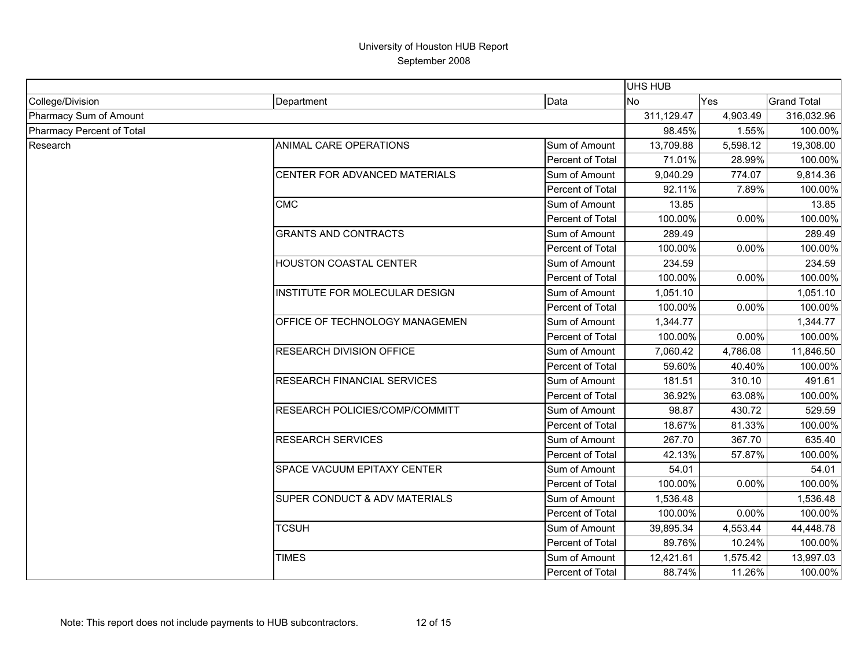|                           |                                          |                  | UHS HUB    |          |                    |
|---------------------------|------------------------------------------|------------------|------------|----------|--------------------|
| College/Division          | Department                               | Data             | <b>No</b>  | Yes      | <b>Grand Total</b> |
| Pharmacy Sum of Amount    |                                          |                  | 311,129.47 | 4,903.49 | 316,032.96         |
| Pharmacy Percent of Total |                                          |                  | 98.45%     | 1.55%    | 100.00%            |
| Research                  | ANIMAL CARE OPERATIONS                   | Sum of Amount    | 13,709.88  | 5,598.12 | 19,308.00          |
|                           |                                          | Percent of Total | 71.01%     | 28.99%   | 100.00%            |
|                           | CENTER FOR ADVANCED MATERIALS            | Sum of Amount    | 9,040.29   | 774.07   | 9,814.36           |
|                           |                                          | Percent of Total | 92.11%     | 7.89%    | 100.00%            |
|                           | <b>CMC</b>                               | Sum of Amount    | 13.85      |          | 13.85              |
|                           |                                          | Percent of Total | 100.00%    | 0.00%    | 100.00%            |
|                           | <b>GRANTS AND CONTRACTS</b>              | Sum of Amount    | 289.49     |          | 289.49             |
|                           |                                          | Percent of Total | 100.00%    | 0.00%    | 100.00%            |
|                           | HOUSTON COASTAL CENTER                   | Sum of Amount    | 234.59     |          | 234.59             |
|                           |                                          | Percent of Total | 100.00%    | 0.00%    | 100.00%            |
|                           | INSTITUTE FOR MOLECULAR DESIGN           | Sum of Amount    | 1,051.10   |          | 1,051.10           |
|                           |                                          | Percent of Total | 100.00%    | 0.00%    | 100.00%            |
|                           | <b>OFFICE OF TECHNOLOGY MANAGEMEN</b>    | Sum of Amount    | 1,344.77   |          | 1,344.77           |
|                           |                                          | Percent of Total | 100.00%    | 0.00%    | 100.00%            |
|                           | <b>RESEARCH DIVISION OFFICE</b>          | Sum of Amount    | 7,060.42   | 4,786.08 | 11,846.50          |
|                           |                                          | Percent of Total | 59.60%     | 40.40%   | 100.00%            |
|                           | RESEARCH FINANCIAL SERVICES              | Sum of Amount    | 181.51     | 310.10   | 491.61             |
|                           |                                          | Percent of Total | 36.92%     | 63.08%   | 100.00%            |
|                           | RESEARCH POLICIES/COMP/COMMITT           | Sum of Amount    | 98.87      | 430.72   | 529.59             |
|                           |                                          | Percent of Total | 18.67%     | 81.33%   | 100.00%            |
|                           | <b>RESEARCH SERVICES</b>                 | Sum of Amount    | 267.70     | 367.70   | 635.40             |
|                           |                                          | Percent of Total | 42.13%     | 57.87%   | 100.00%            |
|                           | SPACE VACUUM EPITAXY CENTER              | Sum of Amount    | 54.01      |          | 54.01              |
|                           |                                          | Percent of Total | 100.00%    | 0.00%    | 100.00%            |
|                           | <b>SUPER CONDUCT &amp; ADV MATERIALS</b> | Sum of Amount    | 1,536.48   |          | 1,536.48           |
|                           |                                          | Percent of Total | 100.00%    | 0.00%    | 100.00%            |
|                           | <b>TCSUH</b>                             | Sum of Amount    | 39,895.34  | 4,553.44 | 44,448.78          |
|                           |                                          | Percent of Total | 89.76%     | 10.24%   | 100.00%            |
|                           | <b>TIMES</b>                             | Sum of Amount    | 12,421.61  | 1,575.42 | 13,997.03          |
|                           |                                          | Percent of Total | 88.74%     | 11.26%   | 100.00%            |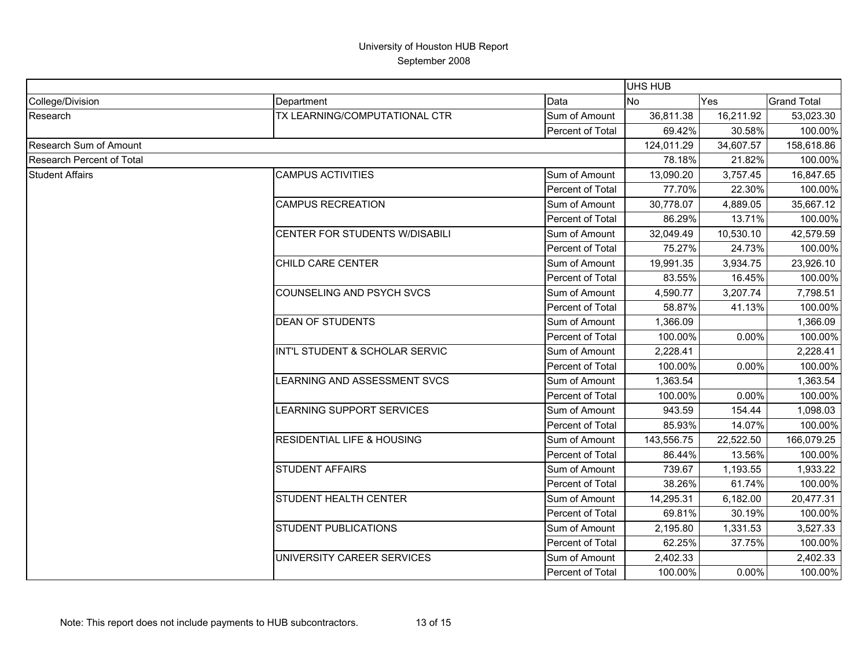|                                  |                                       | <b>UHS HUB</b>   |            |           |                    |
|----------------------------------|---------------------------------------|------------------|------------|-----------|--------------------|
| College/Division                 | Department                            | Data             | <b>No</b>  | Yes       | <b>Grand Total</b> |
| Research                         | TX LEARNING/COMPUTATIONAL CTR         | Sum of Amount    | 36,811.38  | 16,211.92 | 53,023.30          |
|                                  |                                       | Percent of Total | 69.42%     | 30.58%    | 100.00%            |
| <b>Research Sum of Amount</b>    |                                       |                  | 124,011.29 | 34,607.57 | 158,618.86         |
| <b>Research Percent of Total</b> |                                       |                  | 78.18%     | 21.82%    | 100.00%            |
| <b>Student Affairs</b>           | <b>CAMPUS ACTIVITIES</b>              | Sum of Amount    | 13,090.20  | 3,757.45  | 16,847.65          |
|                                  |                                       | Percent of Total | 77.70%     | 22.30%    | 100.00%            |
|                                  | <b>CAMPUS RECREATION</b>              | Sum of Amount    | 30,778.07  | 4,889.05  | 35,667.12          |
|                                  |                                       | Percent of Total | 86.29%     | 13.71%    | 100.00%            |
|                                  | CENTER FOR STUDENTS W/DISABILI        | Sum of Amount    | 32,049.49  | 10,530.10 | 42,579.59          |
|                                  |                                       | Percent of Total | 75.27%     | 24.73%    | 100.00%            |
|                                  | CHILD CARE CENTER                     | Sum of Amount    | 19,991.35  | 3,934.75  | 23,926.10          |
|                                  |                                       | Percent of Total | 83.55%     | 16.45%    | 100.00%            |
|                                  | <b>COUNSELING AND PSYCH SVCS</b>      | Sum of Amount    | 4,590.77   | 3,207.74  | 7,798.51           |
|                                  |                                       | Percent of Total | 58.87%     | 41.13%    | 100.00%            |
|                                  | <b>DEAN OF STUDENTS</b>               | Sum of Amount    | 1,366.09   |           | 1,366.09           |
|                                  |                                       | Percent of Total | 100.00%    | 0.00%     | 100.00%            |
|                                  | INT'L STUDENT & SCHOLAR SERVIC        | Sum of Amount    | 2,228.41   |           | 2,228.41           |
|                                  |                                       | Percent of Total | 100.00%    | 0.00%     | 100.00%            |
|                                  | LEARNING AND ASSESSMENT SVCS          | Sum of Amount    | 1,363.54   |           | 1,363.54           |
|                                  |                                       | Percent of Total | 100.00%    | $0.00\%$  | 100.00%            |
|                                  | LEARNING SUPPORT SERVICES             | Sum of Amount    | 943.59     | 154.44    | 1,098.03           |
|                                  |                                       | Percent of Total | 85.93%     | 14.07%    | 100.00%            |
|                                  | <b>RESIDENTIAL LIFE &amp; HOUSING</b> | Sum of Amount    | 143,556.75 | 22,522.50 | 166,079.25         |
|                                  |                                       | Percent of Total | 86.44%     | 13.56%    | 100.00%            |
|                                  | <b>STUDENT AFFAIRS</b>                | Sum of Amount    | 739.67     | 1,193.55  | 1,933.22           |
|                                  |                                       | Percent of Total | 38.26%     | 61.74%    | 100.00%            |
|                                  | STUDENT HEALTH CENTER                 | Sum of Amount    | 14,295.31  | 6,182.00  | 20,477.31          |
|                                  |                                       | Percent of Total | 69.81%     | 30.19%    | 100.00%            |
|                                  | STUDENT PUBLICATIONS                  | Sum of Amount    | 2,195.80   | 1,331.53  | 3,527.33           |
|                                  |                                       | Percent of Total | 62.25%     | 37.75%    | 100.00%            |
|                                  | UNIVERSITY CAREER SERVICES            | Sum of Amount    | 2,402.33   |           | 2,402.33           |
|                                  |                                       | Percent of Total | 100.00%    | 0.00%     | 100.00%            |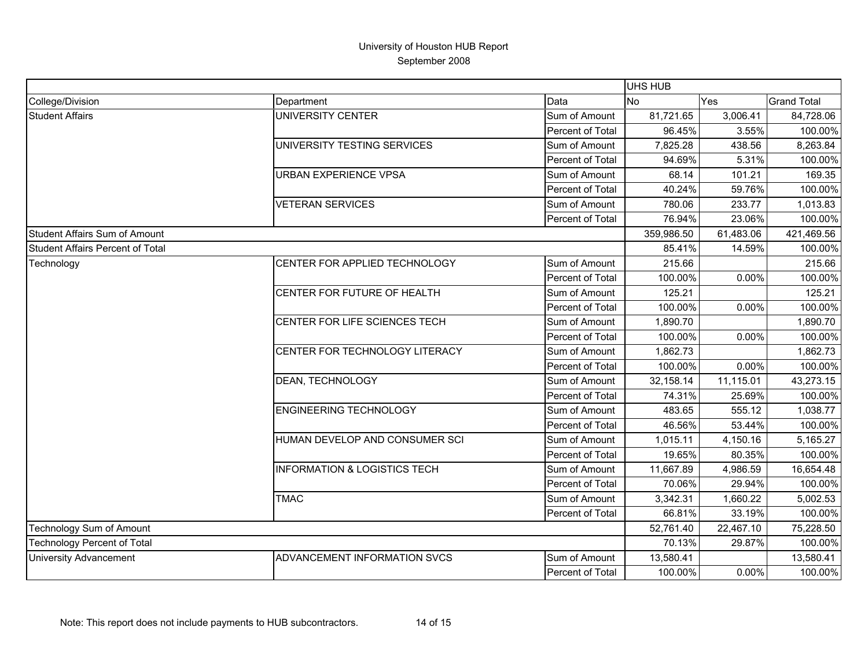|                                         |                                         |                  | <b>UHS HUB</b> |           |                    |
|-----------------------------------------|-----------------------------------------|------------------|----------------|-----------|--------------------|
| College/Division                        | Department                              | Data             | No             | Yes       | <b>Grand Total</b> |
| <b>Student Affairs</b>                  | <b>UNIVERSITY CENTER</b>                | Sum of Amount    | 81,721.65      | 3,006.41  | 84,728.06          |
|                                         |                                         | Percent of Total | 96.45%         | 3.55%     | 100.00%            |
|                                         | UNIVERSITY TESTING SERVICES             | Sum of Amount    | 7,825.28       | 438.56    | 8,263.84           |
|                                         |                                         | Percent of Total | 94.69%         | 5.31%     | 100.00%            |
|                                         | <b>URBAN EXPERIENCE VPSA</b>            | Sum of Amount    | 68.14          | 101.21    | 169.35             |
|                                         |                                         | Percent of Total | 40.24%         | 59.76%    | 100.00%            |
|                                         | <b>VETERAN SERVICES</b>                 | Sum of Amount    | 780.06         | 233.77    | 1,013.83           |
|                                         |                                         | Percent of Total | 76.94%         | 23.06%    | 100.00%            |
| Student Affairs Sum of Amount           |                                         |                  | 359,986.50     | 61,483.06 | 421,469.56         |
| <b>Student Affairs Percent of Total</b> |                                         |                  | 85.41%         | 14.59%    | 100.00%            |
| Technology                              | CENTER FOR APPLIED TECHNOLOGY           | Sum of Amount    | 215.66         |           | 215.66             |
|                                         |                                         | Percent of Total | 100.00%        | 0.00%     | 100.00%            |
|                                         | CENTER FOR FUTURE OF HEALTH             | Sum of Amount    | 125.21         |           | 125.21             |
|                                         |                                         | Percent of Total | 100.00%        | 0.00%     | 100.00%            |
|                                         | CENTER FOR LIFE SCIENCES TECH           | Sum of Amount    | 1,890.70       |           | 1,890.70           |
|                                         |                                         | Percent of Total | 100.00%        | 0.00%     | 100.00%            |
|                                         | CENTER FOR TECHNOLOGY LITERACY          | Sum of Amount    | 1,862.73       |           | 1,862.73           |
|                                         |                                         | Percent of Total | 100.00%        | 0.00%     | 100.00%            |
|                                         | DEAN, TECHNOLOGY                        | Sum of Amount    | 32,158.14      | 11,115.01 | 43,273.15          |
|                                         |                                         | Percent of Total | 74.31%         | 25.69%    | 100.00%            |
|                                         | <b>ENGINEERING TECHNOLOGY</b>           | Sum of Amount    | 483.65         | 555.12    | 1,038.77           |
|                                         |                                         | Percent of Total | 46.56%         | 53.44%    | 100.00%            |
|                                         | HUMAN DEVELOP AND CONSUMER SCI          | Sum of Amount    | 1,015.11       | 4,150.16  | 5,165.27           |
|                                         |                                         | Percent of Total | 19.65%         | 80.35%    | 100.00%            |
|                                         | <b>INFORMATION &amp; LOGISTICS TECH</b> | Sum of Amount    | 11,667.89      | 4,986.59  | 16,654.48          |
|                                         |                                         | Percent of Total | 70.06%         | 29.94%    | 100.00%            |
|                                         | <b>TMAC</b>                             | Sum of Amount    | 3,342.31       | 1,660.22  | 5,002.53           |
|                                         |                                         | Percent of Total | 66.81%         | 33.19%    | 100.00%            |
| Technology Sum of Amount                |                                         |                  | 52,761.40      | 22,467.10 | 75,228.50          |
| <b>Technology Percent of Total</b>      |                                         |                  | 70.13%         | 29.87%    | 100.00%            |
| <b>University Advancement</b>           | ADVANCEMENT INFORMATION SVCS            | Sum of Amount    | 13,580.41      |           | 13,580.41          |
|                                         |                                         | Percent of Total | 100.00%        | 0.00%     | 100.00%            |